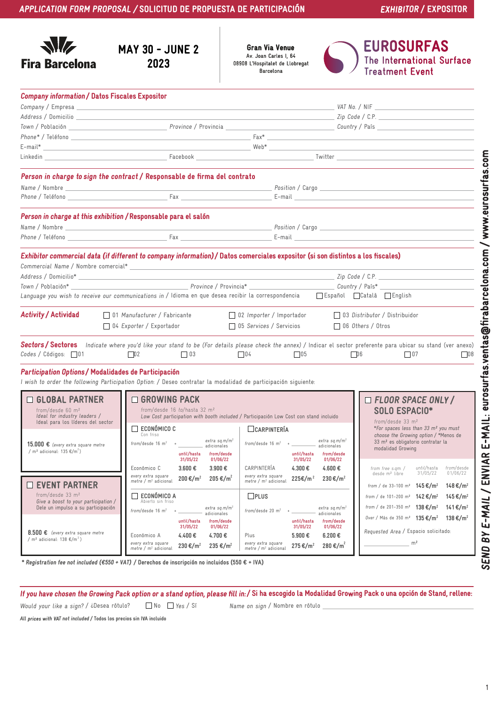| $\sqrt{2}$ |                       |  |  |
|------------|-----------------------|--|--|
|            | <b>Fira Barcelona</b> |  |  |

## MAY 30 - JUNE 2 2023

Av. Joan Carles I, 64 08908 L'Hospitalet de Llobregat Barcelona Gran Via Venue



**EUROSURFAS** The International Surface<br>Treatment Event

| <b>Company information / Datos Fiscales Expositor</b>                                                      |                                                                                                                                                                                            |                                                                                                                       |                                                                                                   |  |
|------------------------------------------------------------------------------------------------------------|--------------------------------------------------------------------------------------------------------------------------------------------------------------------------------------------|-----------------------------------------------------------------------------------------------------------------------|---------------------------------------------------------------------------------------------------|--|
| Company / Empresa                                                                                          |                                                                                                                                                                                            |                                                                                                                       | VAT No. / NIF                                                                                     |  |
| Address / Domicilio                                                                                        |                                                                                                                                                                                            |                                                                                                                       | Zip Code / C.P.                                                                                   |  |
|                                                                                                            |                                                                                                                                                                                            |                                                                                                                       |                                                                                                   |  |
|                                                                                                            |                                                                                                                                                                                            |                                                                                                                       |                                                                                                   |  |
|                                                                                                            |                                                                                                                                                                                            |                                                                                                                       |                                                                                                   |  |
|                                                                                                            |                                                                                                                                                                                            |                                                                                                                       |                                                                                                   |  |
|                                                                                                            | Person in charge to sign the contract / Responsable de firma del contrato                                                                                                                  |                                                                                                                       |                                                                                                   |  |
|                                                                                                            |                                                                                                                                                                                            |                                                                                                                       |                                                                                                   |  |
|                                                                                                            |                                                                                                                                                                                            |                                                                                                                       |                                                                                                   |  |
|                                                                                                            | Person in charge at this exhibition / Responsable para el salón                                                                                                                            |                                                                                                                       |                                                                                                   |  |
|                                                                                                            |                                                                                                                                                                                            |                                                                                                                       |                                                                                                   |  |
|                                                                                                            |                                                                                                                                                                                            |                                                                                                                       |                                                                                                   |  |
|                                                                                                            | Exhibitor commercial data (if different to company information)/ Datos comerciales expositor (si son distintos a los fiscales)                                                             |                                                                                                                       |                                                                                                   |  |
|                                                                                                            |                                                                                                                                                                                            |                                                                                                                       |                                                                                                   |  |
|                                                                                                            |                                                                                                                                                                                            |                                                                                                                       |                                                                                                   |  |
| Town / Población*                                                                                          | Province / Provincia*                                                                                                                                                                      |                                                                                                                       |                                                                                                   |  |
|                                                                                                            | Language you wish to receive our communications in / Idioma en que desea recibir la correspondencia [Español [Català [English                                                              |                                                                                                                       |                                                                                                   |  |
| <b>Activity / Actividad</b>                                                                                | 01 Manufacturer / Fabricante                                                                                                                                                               | $\Box$ 02 Importer / Importador                                                                                       | 03 Distributor / Distribuidor                                                                     |  |
|                                                                                                            | 04 Exporter / Exportador                                                                                                                                                                   | □ 05 Services / Servicios                                                                                             | $\Box$ 06 Others / Otros                                                                          |  |
|                                                                                                            |                                                                                                                                                                                            |                                                                                                                       |                                                                                                   |  |
| Codes / Códigos: $\Box$ 01                                                                                 | Sectors/Sectores Indicate where you'd like your stand to be (For details please check the annex) / Indicar el sector preferente para ubicar su stand (ver anexo)<br>$\Box$ 03<br>$\Box$ 02 | $\Box$ 04<br>$\Box$ 05                                                                                                | D6<br>$\Box$ 07<br>$ $ 08                                                                         |  |
| Participation Options / Modalidades de Participación                                                       |                                                                                                                                                                                            |                                                                                                                       |                                                                                                   |  |
|                                                                                                            | I wish to order the following Participation Option: / Deseo contratar la modalidad de participación siguiente:                                                                             |                                                                                                                       |                                                                                                   |  |
| □ GLOBAL PARTNER                                                                                           | □ GROWING PACK                                                                                                                                                                             |                                                                                                                       | <b>ELOOR SPACE ONLY/</b>                                                                          |  |
| from/desde $60 \text{ m}^2$                                                                                | from/desde 16 to/hasta 32 m <sup>2</sup>                                                                                                                                                   |                                                                                                                       | SOLO ESPACIO*                                                                                     |  |
| Ideal for industry leaders /<br>Ideal para los líderes del sector                                          |                                                                                                                                                                                            | Low Cost participation with booth included / Participación Low Cost con stand incluido<br>from/desde $33 \text{ m}^2$ |                                                                                                   |  |
|                                                                                                            | $\Box$ económico c<br>Con friso                                                                                                                                                            | CARPINTERÍA                                                                                                           | *For spaces less than 33 m <sup>2</sup> you must<br>choose the Growing option / *Menos de         |  |
| 15.000 € (every extra square metre                                                                         | extra sq.m/m <sup>2</sup><br>$from/desde 16 m2$ + $extra sq.m/n$<br>adicionales                                                                                                            | extra sq.m/m <sup>2</sup><br>$from/desde 16 m2$ + ____________ extra sq.m/r                                           | 33 m <sup>2</sup> es obligatorio contratar la                                                     |  |
| / m <sup>2</sup> adicional: $135 \text{ } \in / \text{m}^2$ )                                              | until/hasta from/desde                                                                                                                                                                     | until/hasta<br>from/desde                                                                                             | modalidad Growing                                                                                 |  |
|                                                                                                            | 31/05/22<br>01/06/22                                                                                                                                                                       | 31/05/22<br>01/06/22                                                                                                  |                                                                                                   |  |
|                                                                                                            | 3.900 €<br>$3.600 \text{ } \in$<br>Económico C<br>every extra square                                                                                                                       | 4.600 €<br>CARPINTERÍA<br>4.300€<br>every extra square                                                                | until/hasta from/desde<br>from free s.qm. /<br>01/06/22<br>desde m <sup>2</sup> libre<br>31/05/22 |  |
| $\Box$ EVENT PARTNER                                                                                       | 205 €/m <sup>2</sup><br>200 €/m <sup>2</sup><br>metre / $m2$ adicional                                                                                                                     | 225€/m <sup>2</sup><br>$230 \text{€}/m^2$<br>metre / $m2$ adicional                                                   | from / de 33–100 m <sup>2</sup> <b>145 €/m<sup>2</sup></b><br>148 €/m <sup>2</sup>                |  |
| from/desde 33 m <sup>2</sup><br>Give a boost to your participation /<br>Dele un impulso a su participación | ECONÓMICO A                                                                                                                                                                                | $L$ PLUS                                                                                                              | from / de 101-200 m <sup>2</sup> 142 €/m <sup>2</sup><br>145 €/m <sup>2</sup>                     |  |
|                                                                                                            | Abierto sin friso<br>extra sq.m/m <sup>2</sup>                                                                                                                                             | $extra$ sq.m/m <sup>2</sup>                                                                                           | from / de 201-350 m <sup>2</sup> 138 €/m <sup>2</sup><br>141 €/m <sup>2</sup>                     |  |
|                                                                                                            | from/desde $16 \text{ m}^2$<br>adicionales                                                                                                                                                 | from/desde 20 $m2$<br>$+$ $-$<br>adicionales                                                                          | Over / Más de 350 m <sup>2</sup> 135 €/m <sup>2</sup><br>138 €/m <sup>2</sup>                     |  |
|                                                                                                            | from/desde<br>until/hasta<br>31/05/22<br>01/06/22                                                                                                                                          | until/hasta<br>from/desde<br>31/05/22<br>01/06/22                                                                     |                                                                                                   |  |
| 8.500 $\epsilon$ (every extra square metre<br>/ m <sup>2</sup> adicional: 138 $\epsilon/m^2$ )             | 4.400€<br>4.700€<br>Económico A                                                                                                                                                            | 5.900€<br>6.200 €<br>Plus                                                                                             | Requested Area / Espacio solicitado:                                                              |  |
|                                                                                                            | every extra square<br>$230 \text{€}/m^2$<br>235 €/m <sup>2</sup><br>metre / $m2$ adicional                                                                                                 | every extra square<br>280 €/m <sup>2</sup><br>275 €/m <sup>2</sup><br>metre / $m2$ adicional                          | m <sup>2</sup>                                                                                    |  |

\* Registration fee not included (€550 + VAT) / Derechos de inscripción no incluidos (550 € + IVA)

If you have chosen the Growing Pack option or a stand option, please fill in: / Si ha escogido la Modalidad Growing Pack o una opción de Stand, rellene:

Would your like a sign? / ¿Desea rótulo?  $\Box$  No  $\Box$  Yes / Sí Name on sign / Nombre en rótulo

All prices with VAT not included / Todos los precios sin IVA incluido